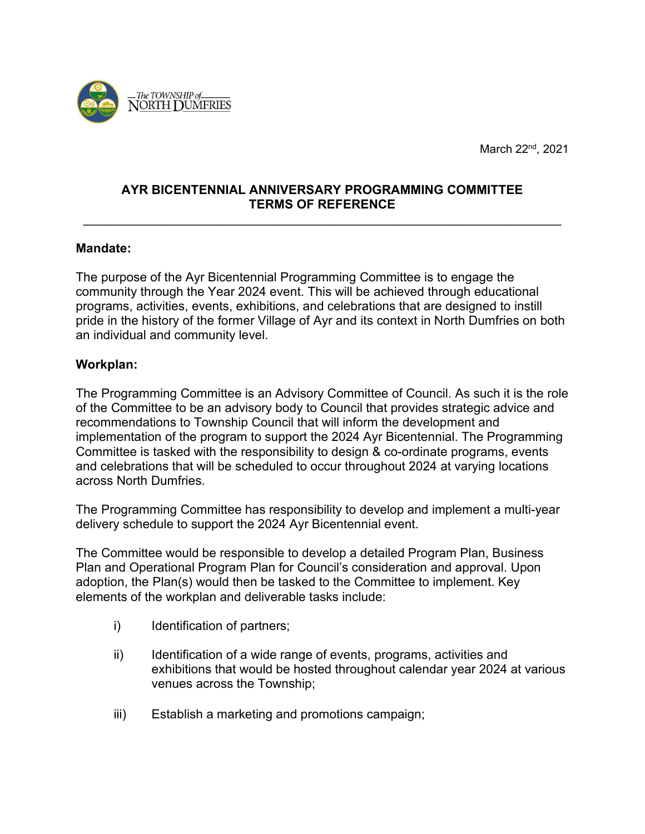

March 22<sup>nd</sup>, 2021

# **AYR BICENTENNIAL ANNIVERSARY PROGRAMMING COMMITTEE TERMS OF REFERENCE**

\_\_\_\_\_\_\_\_\_\_\_\_\_\_\_\_\_\_\_\_\_\_\_\_\_\_\_\_\_\_\_\_\_\_\_\_\_\_\_\_\_\_\_\_\_\_\_\_\_\_\_\_\_\_\_\_\_\_\_\_\_\_\_\_\_\_\_\_

#### **Mandate:**

The purpose of the Ayr Bicentennial Programming Committee is to engage the community through the Year 2024 event. This will be achieved through educational programs, activities, events, exhibitions, and celebrations that are designed to instill pride in the history of the former Village of Ayr and its context in North Dumfries on both an individual and community level.

#### **Workplan:**

The Programming Committee is an Advisory Committee of Council. As such it is the role of the Committee to be an advisory body to Council that provides strategic advice and recommendations to Township Council that will inform the development and implementation of the program to support the 2024 Ayr Bicentennial. The Programming Committee is tasked with the responsibility to design & co-ordinate programs, events and celebrations that will be scheduled to occur throughout 2024 at varying locations across North Dumfries.

The Programming Committee has responsibility to develop and implement a multi-year delivery schedule to support the 2024 Ayr Bicentennial event.

The Committee would be responsible to develop a detailed Program Plan, Business Plan and Operational Program Plan for Council's consideration and approval. Upon adoption, the Plan(s) would then be tasked to the Committee to implement. Key elements of the workplan and deliverable tasks include:

- i) Identification of partners;
- ii) Identification of a wide range of events, programs, activities and exhibitions that would be hosted throughout calendar year 2024 at various venues across the Township;
- iii) Establish a marketing and promotions campaign;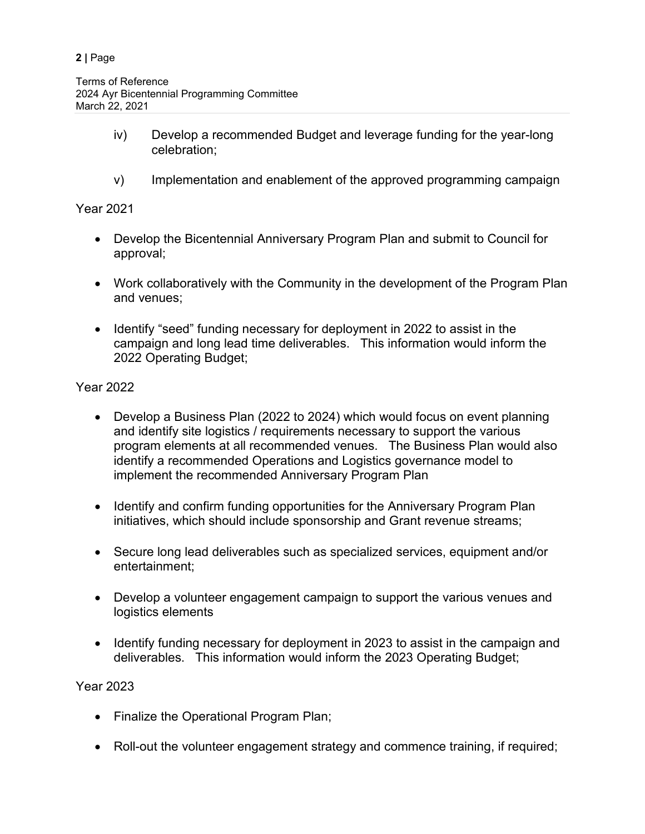- iv) Develop a recommended Budget and leverage funding for the year-long celebration;
- v) Implementation and enablement of the approved programming campaign

Year 2021

- Develop the Bicentennial Anniversary Program Plan and submit to Council for approval;
- Work collaboratively with the Community in the development of the Program Plan and venues;
- Identify "seed" funding necessary for deployment in 2022 to assist in the campaign and long lead time deliverables. This information would inform the 2022 Operating Budget;

Year 2022

- Develop a Business Plan (2022 to 2024) which would focus on event planning and identify site logistics / requirements necessary to support the various program elements at all recommended venues. The Business Plan would also identify a recommended Operations and Logistics governance model to implement the recommended Anniversary Program Plan
- Identify and confirm funding opportunities for the Anniversary Program Plan initiatives, which should include sponsorship and Grant revenue streams;
- Secure long lead deliverables such as specialized services, equipment and/or entertainment;
- Develop a volunteer engagement campaign to support the various venues and logistics elements
- Identify funding necessary for deployment in 2023 to assist in the campaign and deliverables. This information would inform the 2023 Operating Budget;

Year 2023

- Finalize the Operational Program Plan;
- Roll-out the volunteer engagement strategy and commence training, if required;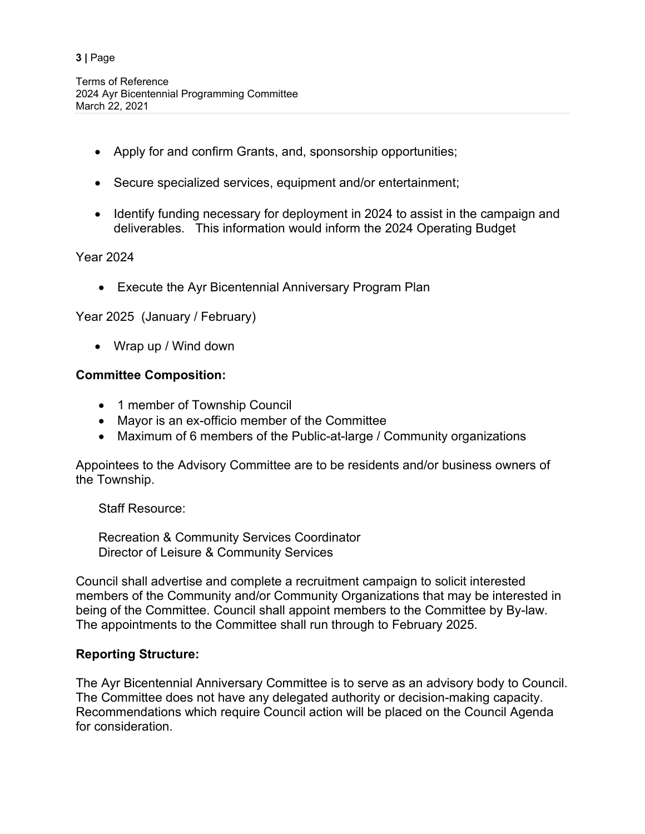#### **3 |** Page

- Apply for and confirm Grants, and, sponsorship opportunities;
- Secure specialized services, equipment and/or entertainment;
- Identify funding necessary for deployment in 2024 to assist in the campaign and deliverables. This information would inform the 2024 Operating Budget

Year 2024

• Execute the Ayr Bicentennial Anniversary Program Plan

Year 2025 (January / February)

• Wrap up / Wind down

# **Committee Composition:**

- 1 member of Township Council
- Mayor is an ex-officio member of the Committee
- Maximum of 6 members of the Public-at-large / Community organizations

Appointees to the Advisory Committee are to be residents and/or business owners of the Township.

Staff Resource:

Recreation & Community Services Coordinator Director of Leisure & Community Services

Council shall advertise and complete a recruitment campaign to solicit interested members of the Community and/or Community Organizations that may be interested in being of the Committee. Council shall appoint members to the Committee by By-law. The appointments to the Committee shall run through to February 2025.

## **Reporting Structure:**

The Ayr Bicentennial Anniversary Committee is to serve as an advisory body to Council. The Committee does not have any delegated authority or decision-making capacity. Recommendations which require Council action will be placed on the Council Agenda for consideration.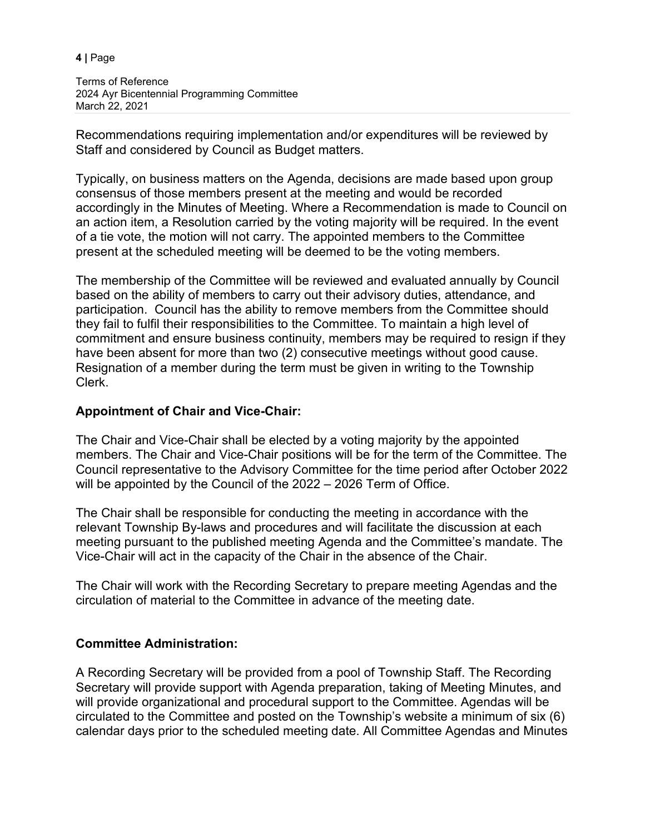**4 |** Page

Terms of Reference 2024 Ayr Bicentennial Programming Committee March 22, 2021

Recommendations requiring implementation and/or expenditures will be reviewed by Staff and considered by Council as Budget matters.

Typically, on business matters on the Agenda, decisions are made based upon group consensus of those members present at the meeting and would be recorded accordingly in the Minutes of Meeting. Where a Recommendation is made to Council on an action item, a Resolution carried by the voting majority will be required. In the event of a tie vote, the motion will not carry. The appointed members to the Committee present at the scheduled meeting will be deemed to be the voting members.

The membership of the Committee will be reviewed and evaluated annually by Council based on the ability of members to carry out their advisory duties, attendance, and participation. Council has the ability to remove members from the Committee should they fail to fulfil their responsibilities to the Committee. To maintain a high level of commitment and ensure business continuity, members may be required to resign if they have been absent for more than two (2) consecutive meetings without good cause. Resignation of a member during the term must be given in writing to the Township Clerk.

# **Appointment of Chair and Vice-Chair:**

The Chair and Vice-Chair shall be elected by a voting majority by the appointed members. The Chair and Vice-Chair positions will be for the term of the Committee. The Council representative to the Advisory Committee for the time period after October 2022 will be appointed by the Council of the 2022 – 2026 Term of Office.

The Chair shall be responsible for conducting the meeting in accordance with the relevant Township By-laws and procedures and will facilitate the discussion at each meeting pursuant to the published meeting Agenda and the Committee's mandate. The Vice-Chair will act in the capacity of the Chair in the absence of the Chair.

The Chair will work with the Recording Secretary to prepare meeting Agendas and the circulation of material to the Committee in advance of the meeting date.

## **Committee Administration:**

A Recording Secretary will be provided from a pool of Township Staff. The Recording Secretary will provide support with Agenda preparation, taking of Meeting Minutes, and will provide organizational and procedural support to the Committee. Agendas will be circulated to the Committee and posted on the Township's website a minimum of six (6) calendar days prior to the scheduled meeting date. All Committee Agendas and Minutes